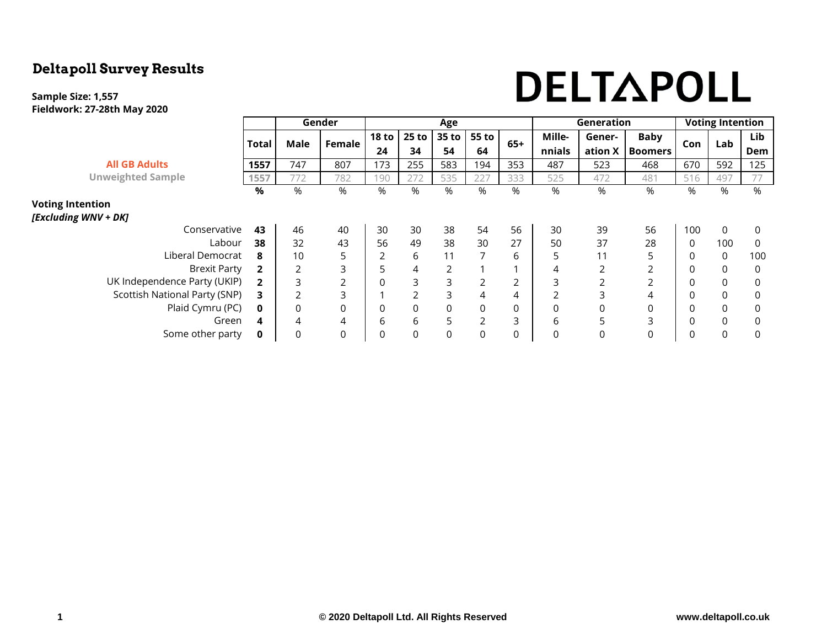## **Deltapoll Survey Results**

#### **Sample Size: 1,557 Fieldwork: 27-28th May 2020**

# DELTAPOLL

|                                                 |              |                | Gender         |                  |                | Age            |                |       |          | Generation     | <b>Voting Intention</b> |             |             |          |
|-------------------------------------------------|--------------|----------------|----------------|------------------|----------------|----------------|----------------|-------|----------|----------------|-------------------------|-------------|-------------|----------|
|                                                 |              | Male           | Female         | 18 <sub>to</sub> | $25$ to        | 35 to          | 55 to          | $65+$ | Mille-   | Gener-         | <b>Baby</b>             |             | Lab         | Lib      |
|                                                 | <b>Total</b> |                |                | 24               | 34             | 54             | 64             |       | nnials   | ation X        | <b>Boomers</b>          | Con         |             | Dem      |
| <b>All GB Adults</b>                            | 1557         | 747            | 807            | 173              | 255            | 583            | 194            | 353   | 487      | 523            | 468                     | 670         | 592         | 125      |
| <b>Unweighted Sample</b>                        | 1557         | 772            | 782            | 190              | 272            | 535            | 227            | 333   | 525      | 472            | 481                     | 516         | 497         | 77       |
|                                                 | %            | %              | %              | %                | %              | %              | %              | %     | $\%$     | %              | %                       | %           | %           | %        |
| <b>Voting Intention</b><br>[Excluding WNV + DK] |              |                |                |                  |                |                |                |       |          |                |                         |             |             |          |
|                                                 |              |                |                |                  |                |                |                |       |          |                |                         |             |             |          |
| Conservative                                    | 43           | 46             | 40             | 30               | 30             | 38             | 54             | 56    | 30       | 39             | 56                      | 100         | 0           | 0        |
| Labour                                          | 38           | 32             | 43             | 56               | 49             | 38             | 30             | 27    | 50       | 37             | 28                      | $\mathbf 0$ | 100         | $\Omega$ |
| Liberal Democrat                                |              | 10             | 5              | $\overline{2}$   | 6              | 11             |                | 6     | 5.       | 11             | 5                       | $\Omega$    | $\mathbf 0$ | 100      |
| <b>Brexit Party</b>                             |              | 2              | 3              | 5                | 4              | $\overline{2}$ |                |       |          | $\overline{2}$ | 2                       | $\Omega$    | $\mathbf 0$ | $\Omega$ |
| UK Independence Party (UKIP)                    | 2            | 3              | $\overline{2}$ | 0                | 3              | 3              | $\overline{2}$ | 2     |          | $\overline{2}$ | $\overline{2}$          | $\Omega$    | $\mathbf 0$ | $\Omega$ |
| Scottish National Party (SNP)                   |              | $\overline{2}$ | 3              |                  | $\overline{2}$ | 3              | 4              | 4     |          | 3              | 4                       | $\Omega$    | $\mathsf 0$ | $\Omega$ |
| Plaid Cymru (PC)                                | 0            | 0              | 0              | 0                | 0              | 0              | 0              | 0     |          | 0              | 0                       | $\Omega$    | $\mathbf 0$ | $\Omega$ |
| Green                                           | 4            | 4              | 4              | 6                | 6              | 5              | $\overline{2}$ | 3     | 6        | 5              | 3                       | $\Omega$    | $\mathsf 0$ | $\Omega$ |
| Some other party                                |              | $\Omega$       | 0              | 0                | $\Omega$       | 0              | $\Omega$       | 0     | $\Omega$ | 0              | 0                       | $\Omega$    | $\mathbf 0$ | $\Omega$ |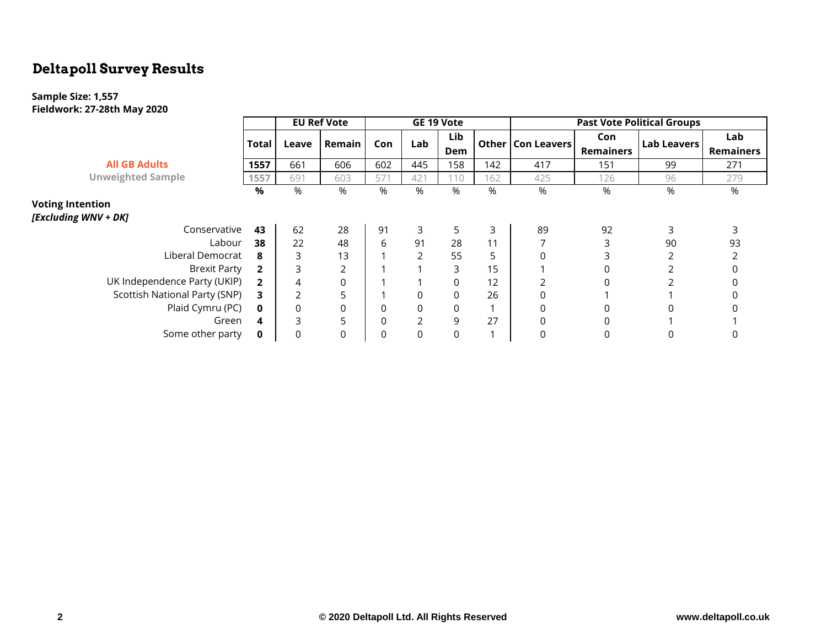## **Deltapoll Survey Results**

### **Sample Size: 1,557 Fieldwork: 27-28th May 2020**

|                               |              |       | <b>EU Ref Vote</b> |          |                | GE 19 Vote |     |                     |                  | <b>Past Vote Political Groups</b> |                  |
|-------------------------------|--------------|-------|--------------------|----------|----------------|------------|-----|---------------------|------------------|-----------------------------------|------------------|
|                               | Total        | Leave | Remain             | Con      | Lab            | Lib        |     | Other   Con Leavers | Con              | <b>Lab Leavers</b>                | Lab              |
|                               |              |       |                    |          |                | Dem        |     |                     | <b>Remainers</b> |                                   | <b>Remainers</b> |
| <b>All GB Adults</b>          | 1557         | 661   | 606                | 602      | 445            | 158        | 142 | 417                 | 151              | 99                                | 271              |
| <b>Unweighted Sample</b>      | 1557         | 691   | 603                | 571      | 421            | 110        | 162 | 425                 | 126              | 96                                | 279              |
|                               | %            | %     | %                  | %        | %              | %          | %   | %                   | %                | $\%$                              | %                |
| <b>Voting Intention</b>       |              |       |                    |          |                |            |     |                     |                  |                                   |                  |
| [Excluding WNV + DK]          |              |       |                    |          |                |            |     |                     |                  |                                   |                  |
| Conservative                  | 43           | 62    | 28                 | 91       | 3              | 5          | 3   | 89                  | 92               | 3                                 |                  |
| Labour                        | 38           | 22    | 48                 | 6        | 91             | 28         | 11  |                     | 3                | 90                                | 93               |
| Liberal Democrat              | 8            |       | 13                 |          |                | 55         | 5   | $\Omega$            |                  |                                   |                  |
| <b>Brexit Party</b>           | $\mathbf{2}$ | 3     | 2                  |          |                | 3          | 15  |                     | 0                |                                   |                  |
| UK Independence Party (UKIP)  |              | 4     | 0                  |          |                | $\Omega$   | 12  |                     | 0                |                                   |                  |
| Scottish National Party (SNP) | 3.           |       | 5                  |          |                | 0          | 26  | 0                   |                  |                                   |                  |
| Plaid Cymru (PC)              | $\mathbf{0}$ | 0     | 0                  | 0        | $\Omega$       | 0          |     | 0                   | 0                |                                   |                  |
| Green                         | 4            | 3     | 5                  | $\Omega$ | $\mathfrak{D}$ | 9          | 27  | $\Omega$            | 0                |                                   |                  |
| Some other party              | $\mathbf{0}$ |       | 0                  | 0        | 0              | 0          |     | 0                   | 0                |                                   |                  |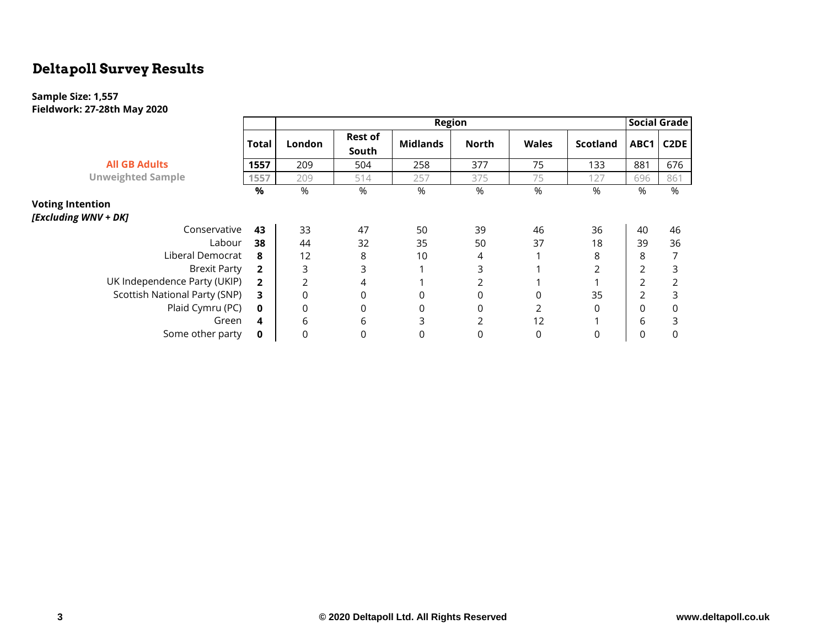## **Deltapoll Survey Results**

### **Sample Size: 1,557 Fieldwork: 27-28th May 2020**

|                               |                        | <b>Region</b>  |                         |                 |              |              |                 |                |                   |  |  |  |
|-------------------------------|------------------------|----------------|-------------------------|-----------------|--------------|--------------|-----------------|----------------|-------------------|--|--|--|
|                               | <b>Total</b><br>London |                | <b>Rest of</b><br>South | <b>Midlands</b> | <b>North</b> | <b>Wales</b> | <b>Scotland</b> | ABC1           | C <sub>2</sub> DE |  |  |  |
| <b>All GB Adults</b>          | 1557                   | 209            | 504                     | 258             | 377          | 75           | 133             | 881            | 676               |  |  |  |
| <b>Unweighted Sample</b>      | 1557                   | 209            | 514                     | 257             | 375          | 75           | 127             | 696            | 861               |  |  |  |
|                               | %                      | %              | %                       | %               | %            | %            | %               | %              | %                 |  |  |  |
| <b>Voting Intention</b>       |                        |                |                         |                 |              |              |                 |                |                   |  |  |  |
| [Excluding WNV + DK]          |                        |                |                         |                 |              |              |                 |                |                   |  |  |  |
| Conservative                  | 43                     | 33             | 47                      | 50              | 39           | 46           | 36              | 40             | 46                |  |  |  |
| Labour                        | 38                     | 44             | 32                      | 35              | 50           | 37           | 18              | 39             | 36                |  |  |  |
| Liberal Democrat              | 8                      | 12             | 8                       | 10              | 4            |              | 8               | 8              |                   |  |  |  |
| <b>Brexit Party</b>           | $\overline{2}$         | 3              | 3                       |                 | 3            |              | 2               | 2              | 3                 |  |  |  |
| UK Independence Party (UKIP)  | $\overline{2}$         | $\overline{2}$ | 4                       |                 |              |              |                 | $\overline{2}$ |                   |  |  |  |
| Scottish National Party (SNP) | 3                      | 0              | 0                       | 0               |              |              | 35              | 2              | 3                 |  |  |  |
| Plaid Cymru (PC)              | 0                      | 0              | 0                       | 0               | 0            |              | 0               | 0              | $\Omega$          |  |  |  |
| Green                         | 4                      | 6              | 6                       | 3               | 2            | 12           |                 | 6              | 3                 |  |  |  |
| Some other party              | 0                      | $\Omega$       | 0                       | 0               |              | 0            | 0               |                |                   |  |  |  |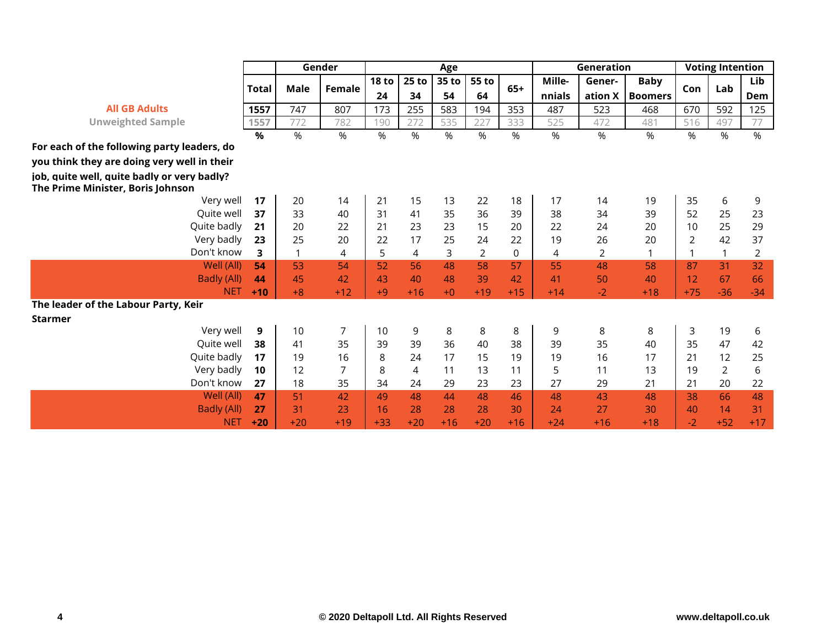|                                                                                  |       |       | Gender |                  |         | Age   |       |       |        | Generation     |                | <b>Voting Intention</b> |                |                |
|----------------------------------------------------------------------------------|-------|-------|--------|------------------|---------|-------|-------|-------|--------|----------------|----------------|-------------------------|----------------|----------------|
|                                                                                  |       |       |        | 18 <sub>to</sub> | $25$ to | 35 to | 55 to |       | Mille- | Gener-         | <b>Baby</b>    |                         |                | Lib            |
|                                                                                  | Total | Male  | Female | 24               | 34      | 54    | 64    | $65+$ | nnials | ation <b>X</b> | <b>Boomers</b> | Con                     | Lab            | Dem            |
| <b>All GB Adults</b>                                                             | 1557  | 747   | 807    | 173              | 255     | 583   | 194   | 353   | 487    | 523            | 468            | 670                     | 592            | 125            |
| <b>Unweighted Sample</b>                                                         | 1557  | 772   | 782    | 190              | 272     | 535   | 227   | 333   | 525    | 472            | 481            | 516                     | 497            | 77             |
|                                                                                  | $\%$  | %     | $\%$   | $\%$             | %       | $\%$  | %     | %     | %      | %              | %              | %                       | $\%$           | %              |
| For each of the following party leaders, do                                      |       |       |        |                  |         |       |       |       |        |                |                |                         |                |                |
| you think they are doing very well in their                                      |       |       |        |                  |         |       |       |       |        |                |                |                         |                |                |
| job, quite well, quite badly or very badly?<br>The Prime Minister, Boris Johnson |       |       |        |                  |         |       |       |       |        |                |                |                         |                |                |
| Very well                                                                        | 17    | 20    | 14     | 21               | 15      | 13    | 22    | 18    | 17     | 14             | 19             | 35                      | 6              | 9              |
| Ouite well                                                                       | 37    | 33    | 40     | 31               | 41      | 35    | 36    | 39    | 38     | 34             | 39             | 52                      | 25             | 23             |
| Quite badly                                                                      | 21    | 20    | 22     | 21               | 23      | 23    | 15    | 20    | 22     | 24             | 20             | 10                      | 25             | 29             |
| Very badly                                                                       | 23    | 25    | 20     | 22               | 17      | 25    | 24    | 22    | 19     | 26             | 20             | $\overline{2}$          | 42             | 37             |
| Don't know                                                                       | 3     | 1     | 4      | 5                | 4       | 3     | 2     | 0     | 4      | 2              | $\mathbf 1$    | $\mathbf{1}$            | 1              | $\overline{2}$ |
| Well (All)                                                                       | 54    | 53    | 54     | 52               | 56      | 48    | 58    | 57    | 55     | 48             | 58             | 87                      | 31             | 32             |
| <b>Badly (All)</b>                                                               | 44    | 45    | 42     | 43               | 40      | 48    | 39    | 42    | 41     | 50             | 40             | 12                      | 67             | 66             |
| <b>NET</b>                                                                       | $+10$ | $+8$  | $+12$  | $+9$             | $+16$   | $+0$  | $+19$ | $+15$ | $+14$  | $-2$           | $+18$          | $+75$                   | $-36$          | $-34$          |
| The leader of the Labour Party, Keir                                             |       |       |        |                  |         |       |       |       |        |                |                |                         |                |                |
| <b>Starmer</b>                                                                   |       |       |        |                  |         |       |       |       |        |                |                |                         |                |                |
| Very well                                                                        | 9     | 10    | 7      | 10               | 9       | 8     | 8     | 8     | 9      | 8              | 8              | 3                       | 19             | 6              |
| Quite well                                                                       | 38    | 41    | 35     | 39               | 39      | 36    | 40    | 38    | 39     | 35             | 40             | 35                      | 47             | 42             |
| Quite badly                                                                      | 17    | 19    | 16     | 8                | 24      | 17    | 15    | 19    | 19     | 16             | 17             | 21                      | 12             | 25             |
| Very badly                                                                       | 10    | 12    | 7      | 8                | 4       | 11    | 13    | 11    | 5      | 11             | 13             | 19                      | $\overline{2}$ | 6              |
| Don't know                                                                       | 27    | 18    | 35     | 34               | 24      | 29    | 23    | 23    | 27     | 29             | 21             | 21                      | 20             | 22             |
| Well (All)                                                                       | 47    | 51    | 42     | 49               | 48      | 44    | 48    | 46    | 48     | 43             | 48             | 38                      | 66             | 48             |
| <b>Badly (All)</b>                                                               | 27    | 31    | 23     | 16               | 28      | 28    | 28    | 30    | 24     | 27             | 30             | 40                      | 14             | 31             |
| <b>NET</b>                                                                       | $+20$ | $+20$ | $+19$  | $+33$            | $+20$   | $+16$ | $+20$ | $+16$ | $+24$  | $+16$          | $+18$          | $-2$                    | $+52$          | $+17$          |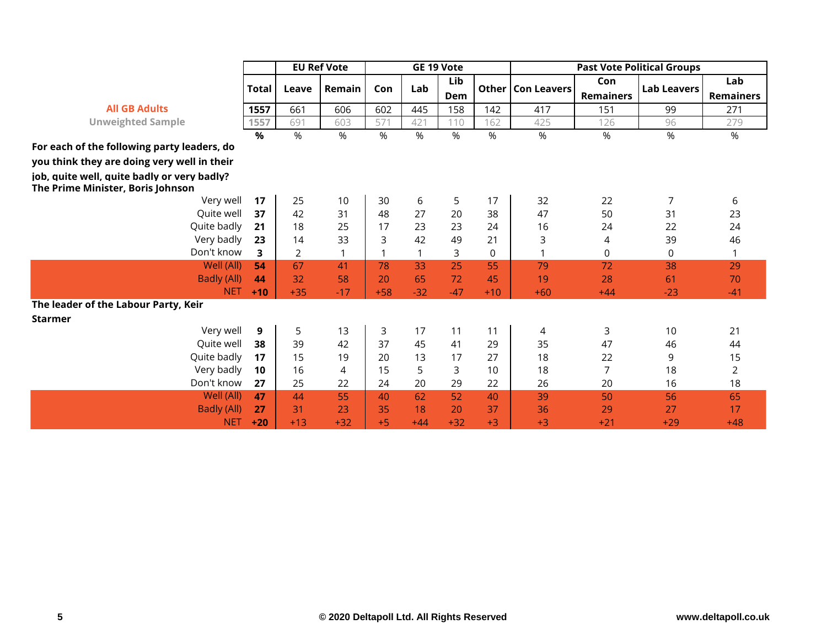|                                                                                  |       |       | <b>EU Ref Vote</b> |       |       | GE 19 Vote |             |                    |                  | <b>Past Vote Political Groups</b> |                  |
|----------------------------------------------------------------------------------|-------|-------|--------------------|-------|-------|------------|-------------|--------------------|------------------|-----------------------------------|------------------|
|                                                                                  | Total | Leave | Remain             | Con   | Lab   | Lib        | Other       | <b>Con Leavers</b> | Con              | <b>Lab Leavers</b>                | Lab              |
| <b>All GB Adults</b>                                                             |       |       |                    |       |       | Dem        |             |                    | <b>Remainers</b> |                                   | <b>Remainers</b> |
|                                                                                  | 1557  | 661   | 606                | 602   | 445   | 158        | 142         | 417                | 151              | 99                                | 271              |
| <b>Unweighted Sample</b>                                                         | 1557  | 691   | 603                | 571   | 421   | 110        | 162         | 425                | 126              | 96                                | 279              |
|                                                                                  | %     | %     | %                  | %     | %     | %          | %           | %                  | %                | %                                 | %                |
| For each of the following party leaders, do                                      |       |       |                    |       |       |            |             |                    |                  |                                   |                  |
| you think they are doing very well in their                                      |       |       |                    |       |       |            |             |                    |                  |                                   |                  |
| job, quite well, quite badly or very badly?<br>The Prime Minister, Boris Johnson |       |       |                    |       |       |            |             |                    |                  |                                   |                  |
| Very well                                                                        | 17    | 25    | 10                 | 30    | 6     | 5          | 17          | 32                 | 22               | 7                                 | 6                |
| Quite well                                                                       | 37    | 42    | 31                 | 48    | 27    | 20         | 38          | 47                 | 50               | 31                                | 23               |
| Quite badly                                                                      | 21    | 18    | 25                 | 17    | 23    | 23         | 24          | 16                 | 24               | 22                                | 24               |
| Very badly                                                                       | 23    | 14    | 33                 | 3     | 42    | 49         | 21          | 3                  | 4                | 39                                | 46               |
| Don't know                                                                       | 3     | 2     |                    | 1     |       | 3          | $\mathbf 0$ |                    | $\mathbf 0$      | 0                                 | 1                |
| Well (All)                                                                       | 54    | 67    | 41                 | 78    | 33    | 25         | 55          | 79                 | 72               | 38                                | 29               |
| Badly (All)                                                                      | 44    | 32    | 58                 | 20    | 65    | 72         | 45          | 19                 | 28               | 61                                | 70               |
| <b>NET</b>                                                                       | $+10$ | $+35$ | $-17$              | $+58$ | $-32$ | $-47$      | $+10$       | $+60$              | $+44$            | $-23$                             | $-41$            |
| The leader of the Labour Party, Keir                                             |       |       |                    |       |       |            |             |                    |                  |                                   |                  |
| <b>Starmer</b>                                                                   |       |       |                    |       |       |            |             |                    |                  |                                   |                  |
| Very well                                                                        | 9     | 5     | 13                 | 3     | 17    | 11         | 11          | 4                  | 3                | 10                                | 21               |
| Quite well                                                                       | 38    | 39    | 42                 | 37    | 45    | 41         | 29          | 35                 | 47               | 46                                | 44               |
| Quite badly                                                                      | 17    | 15    | 19                 | 20    | 13    | 17         | 27          | 18                 | 22               | 9                                 | 15               |
| Very badly                                                                       | 10    | 16    | $\overline{4}$     | 15    | 5     | 3          | 10          | 18                 | 7                | 18                                | $\overline{2}$   |
| Don't know                                                                       | 27    | 25    | 22                 | 24    | 20    | 29         | 22          | 26                 | 20               | 16                                | 18               |
| Well (All)                                                                       | 47    | 44    | 55                 | 40    | 62    | 52         | 40          | 39                 | 50               | 56                                | 65               |
| <b>Badly (All)</b>                                                               | 27    | 31    | 23                 | 35    | 18    | 20         | 37          | 36                 | 29               | 27                                | 17               |
| <b>NET</b>                                                                       | $+20$ | $+13$ | $+32$              | $+5$  | $+44$ | $+32$      | $+3$        | $+3$               | $+21$            | $+29$                             | $+48$            |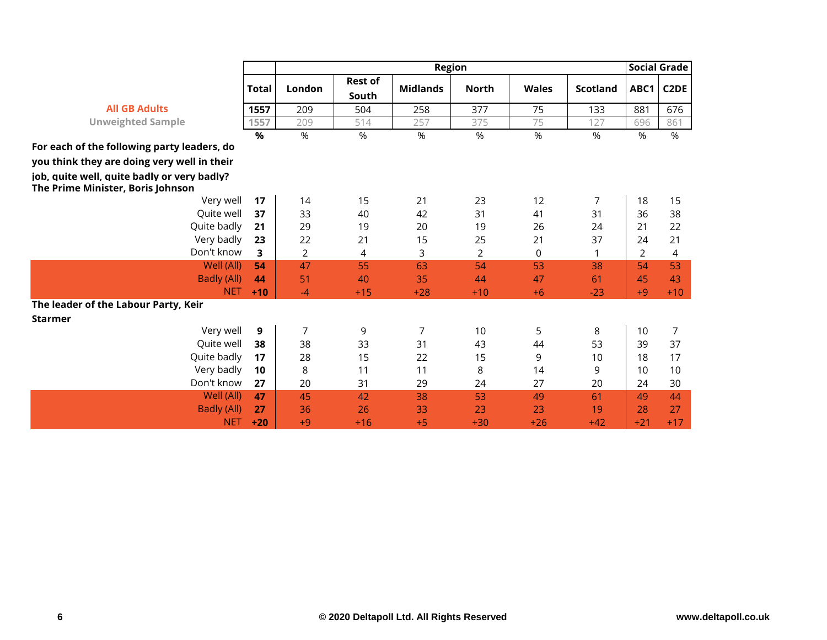|                                                                                  |              |                |                         |                                  | <b>Social Grade</b> |              |                 |                |                   |
|----------------------------------------------------------------------------------|--------------|----------------|-------------------------|----------------------------------|---------------------|--------------|-----------------|----------------|-------------------|
|                                                                                  | <b>Total</b> | London         | <b>Rest of</b><br>South | <b>Region</b><br><b>Midlands</b> | <b>North</b>        | <b>Wales</b> | <b>Scotland</b> | ABC1           | C <sub>2</sub> DE |
| <b>All GB Adults</b>                                                             | 1557         | 209            | 504                     | 258                              | 377                 | 75           | 133             | 881            | 676               |
| <b>Unweighted Sample</b>                                                         | 1557         | 209            | 514                     | 257                              | 375                 | 75           | 127             | 696            | 861               |
|                                                                                  | %            | %              | %                       | %                                | %                   | %            | %               | %              | %                 |
| For each of the following party leaders, do                                      |              |                |                         |                                  |                     |              |                 |                |                   |
| you think they are doing very well in their                                      |              |                |                         |                                  |                     |              |                 |                |                   |
| job, quite well, quite badly or very badly?<br>The Prime Minister, Boris Johnson |              |                |                         |                                  |                     |              |                 |                |                   |
| Very well                                                                        | 17           | 14             | 15                      | 21                               | 23                  | 12           | 7               | 18             | 15                |
| Quite well                                                                       | 37           | 33             | 40                      | 42                               | 31                  | 41           | 31              | 36             | 38                |
| Quite badly                                                                      | 21           | 29             | 19                      | 20                               | 19                  | 26           | 24              | 21             | 22                |
| Very badly                                                                       | 23           | 22             | 21                      | 15                               | 25                  | 21           | 37              | 24             | 21                |
| Don't know                                                                       | 3            | $\overline{2}$ | 4                       | 3                                | $\overline{2}$      | 0            |                 | $\overline{2}$ | 4                 |
| Well (All)                                                                       | 54           | 47             | 55                      | 63                               | 54                  | 53           | 38              | 54             | 53                |
| <b>Badly (All)</b>                                                               | 44           | 51             | 40                      | 35                               | 44                  | 47           | 61              | 45             | 43                |
| <b>NET</b>                                                                       | $+10$        | $-4$           | $+15$                   | $+28$                            | $+10$               | $+6$         | $-23$           | $+9$           | $+10$             |
| The leader of the Labour Party, Keir                                             |              |                |                         |                                  |                     |              |                 |                |                   |
| <b>Starmer</b>                                                                   |              |                |                         |                                  |                     |              |                 |                |                   |
| Very well                                                                        | 9            | 7              | 9                       | 7                                | 10                  | 5            | 8               | 10             | 7                 |
| Quite well                                                                       | 38           | 38             | 33                      | 31                               | 43                  | 44           | 53              | 39             | 37                |
| Quite badly                                                                      | 17           | 28             | 15                      | 22                               | 15                  | 9            | 10              | 18             | 17                |
| Very badly                                                                       | 10           | 8              | 11                      | 11                               | 8                   | 14           | 9               | 10             | 10                |
| Don't know                                                                       | 27           | 20             | 31                      | 29                               | 24                  | 27           | 20              | 24             | 30                |
| Well (All)                                                                       | 47           | 45             | 42                      | 38                               | 53                  | 49           | 61              | 49             | 44                |
| <b>Badly (All)</b>                                                               | 27           | 36             | 26                      | 33                               | 23                  | 23           | 19              | 28             | 27                |
| <b>NET</b>                                                                       | $+20$        | $+9$           | $+16$                   | $+5$                             | $+30$               | $+26$        | $+42$           | $+21$          | $+17$             |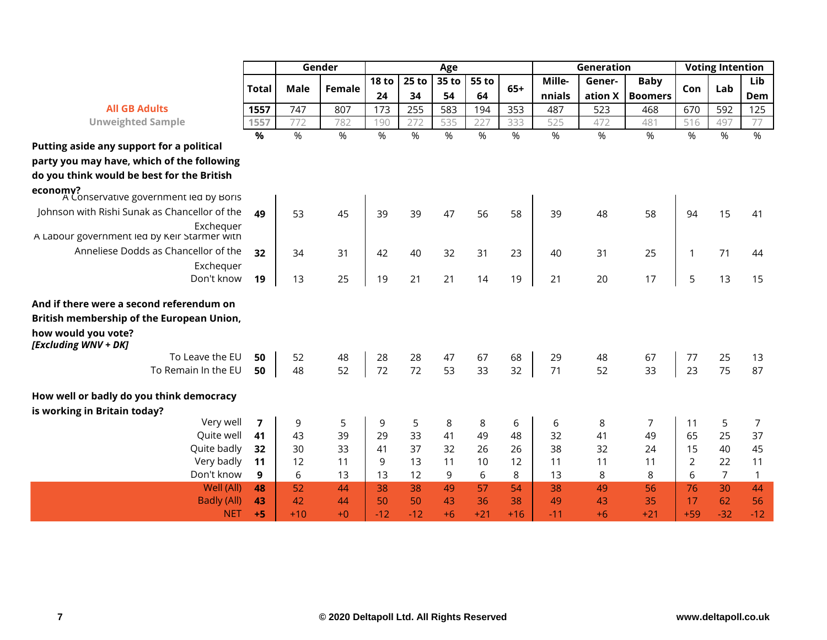|                                                                          |              | Gender      |        | Age          |         |       |       |       | Generation | <b>Voting Intention</b> |                   |              |                |              |
|--------------------------------------------------------------------------|--------------|-------------|--------|--------------|---------|-------|-------|-------|------------|-------------------------|-------------------|--------------|----------------|--------------|
|                                                                          |              |             |        | <b>18 to</b> | $25$ to | 35 to | 55 to |       | Mille-     | Gener-                  | <b>Baby</b>       |              |                | Lib          |
|                                                                          | <b>Total</b> | <b>Male</b> | Female | 24           | 34      | 54    | 64    | $65+$ | nnials     |                         | ation $X$ Boomers | Con          | Lab            | Dem          |
| <b>All GB Adults</b>                                                     | 1557         | 747         | 807    | 173          | 255     | 583   | 194   | 353   | 487        | 523                     | 468               | 670          | 592            | 125          |
| <b>Unweighted Sample</b>                                                 | 1557         | 772         | 782    | 190          | 272     | 535   | 227   | 333   | 525        | 472                     | 481               | 516          | 497            | 77           |
|                                                                          | $\%$         | %           | %      | %            | %       | %     | %     | %     | %          | %                       | %                 | %            | %              | %            |
| Putting aside any support for a political                                |              |             |        |              |         |       |       |       |            |                         |                   |              |                |              |
| party you may have, which of the following                               |              |             |        |              |         |       |       |       |            |                         |                   |              |                |              |
| do you think would be best for the British                               |              |             |        |              |         |       |       |       |            |                         |                   |              |                |              |
| economy?<br>A Conservative government led by Boris                       |              |             |        |              |         |       |       |       |            |                         |                   |              |                |              |
| Johnson with Rishi Sunak as Chancellor of the                            | 49           | 53          | 45     | 39           | 39      | 47    | 56    | 58    | 39         | 48                      | 58                | 94           | 15             | 41           |
| Exchequer<br>A Labour government led by Keir Starmer with                |              |             |        |              |         |       |       |       |            |                         |                   |              |                |              |
| Anneliese Dodds as Chancellor of the                                     | 32           | 34          | 31     | 42           | 40      | 32    | 31    | 23    | 40         | 31                      | 25                | $\mathbf{1}$ | 71             | 44           |
| Exchequer                                                                |              |             |        |              |         |       |       |       |            |                         |                   |              |                |              |
| Don't know                                                               | 19           | 13          | 25     | 19           | 21      | 21    | 14    | 19    | 21         | 20                      | 17                | 5            | 13             | 15           |
| And if there were a second referendum on                                 |              |             |        |              |         |       |       |       |            |                         |                   |              |                |              |
| British membership of the European Union,                                |              |             |        |              |         |       |       |       |            |                         |                   |              |                |              |
| how would you vote?<br>[Excluding WNV + DK]                              |              |             |        |              |         |       |       |       |            |                         |                   |              |                |              |
| To Leave the EU                                                          | 50           | 52          | 48     | 28           | 28      | 47    | 67    | 68    | 29         | 48                      | 67                | 77           | 25             | 13           |
| To Remain In the EU                                                      | 50           | 48          | 52     | 72           | 72      | 53    | 33    | 32    | 71         | 52                      | 33                | 23           | 75             | 87           |
| How well or badly do you think democracy<br>is working in Britain today? |              |             |        |              |         |       |       |       |            |                         |                   |              |                |              |
| Very well                                                                | 7            | 9           | 5      | 9            | 5       | 8     | 8     | 6     | 6          | 8                       | 7                 | 11           | 5              | 7            |
| Quite well                                                               | 41           | 43          | 39     | 29           | 33      | 41    | 49    | 48    | 32         | 41                      | 49                | 65           | 25             | 37           |
| Quite badly                                                              | 32           | 30          | 33     | 41           | 37      | 32    | 26    | 26    | 38         | 32                      | 24                | 15           | 40             | 45           |
| Very badly                                                               | 11           | 12          | 11     | 9            | 13      | 11    | 10    | 12    | 11         | 11                      | 11                | 2            | 22             | 11           |
| Don't know                                                               | 9            | 6           | 13     | 13           | 12      | 9     | 6     | 8     | 13         | 8                       | 8                 | 6            | $\overline{7}$ | $\mathbf{1}$ |
| Well (All)                                                               | 48           | 52          | 44     | 38           | 38      | 49    | 57    | 54    | 38         | 49                      | 56                | 76           | 30             | 44           |
| <b>Badly (All)</b>                                                       | 43           | 42          | 44     | 50           | 50      | 43    | 36    | 38    | 49         | 43                      | 35                | 17           | 62             | 56           |
| <b>NET</b>                                                               | $+5$         | $+10$       | $+0$   | $-12$        | $-12$   | $+6$  | $+21$ | $+16$ | $-11$      | $+6$                    | $+21$             | $+59$        | $-32$          | $-12$        |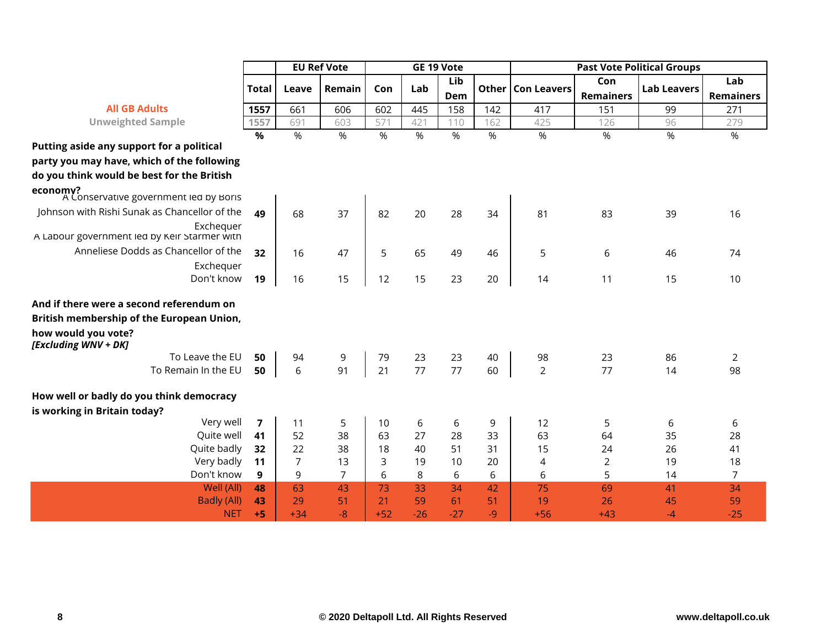|                                                           |                         |            | <b>EU Ref Vote</b> |       | GE 19 Vote |       |      |                     | <b>Past Vote Political Groups</b> |                    |                  |  |  |
|-----------------------------------------------------------|-------------------------|------------|--------------------|-------|------------|-------|------|---------------------|-----------------------------------|--------------------|------------------|--|--|
|                                                           | <b>Total</b>            | Leave      | Remain             | Con   | Lab        | Lib   |      | Other   Con Leavers | Con                               | <b>Lab Leavers</b> | Lab              |  |  |
|                                                           |                         |            |                    |       |            | Dem   |      |                     | <b>Remainers</b>                  |                    | <b>Remainers</b> |  |  |
| <b>All GB Adults</b>                                      | 1557                    | 661        | 606                | 602   | 445        | 158   | 142  | 417                 | 151                               | 99                 | 271              |  |  |
| <b>Unweighted Sample</b>                                  | 1557                    | 691        | 603                | 571   | 421        | 110   | 162  | 425                 | 126                               | 96                 | 279              |  |  |
| Putting aside any support for a political                 | $\frac{9}{6}$           | $\sqrt{6}$ | %                  | %     | %          | %     | %    | %                   | $\%$                              | %                  | %                |  |  |
| party you may have, which of the following                |                         |            |                    |       |            |       |      |                     |                                   |                    |                  |  |  |
| do you think would be best for the British                |                         |            |                    |       |            |       |      |                     |                                   |                    |                  |  |  |
| economy?<br>A Conservative government led by Boris        |                         |            |                    |       |            |       |      |                     |                                   |                    |                  |  |  |
| Johnson with Rishi Sunak as Chancellor of the             | 49                      | 68         | 37                 | 82    | 20         | 28    | 34   | 81                  | 83                                | 39                 | 16               |  |  |
| Exchequer<br>A Labour government led by Keir Starmer with |                         |            |                    |       |            |       |      |                     |                                   |                    |                  |  |  |
| Anneliese Dodds as Chancellor of the                      | 32                      | 16         | 47                 | 5     | 65         | 49    | 46   | 5                   | 6                                 | 46                 | 74               |  |  |
| Exchequer                                                 |                         |            |                    |       |            |       |      |                     |                                   |                    |                  |  |  |
| Don't know                                                | 19                      | 16         | 15                 | 12    | 15         | 23    | 20   | 14                  | 11                                | 15                 | 10               |  |  |
| And if there were a second referendum on                  |                         |            |                    |       |            |       |      |                     |                                   |                    |                  |  |  |
| British membership of the European Union,                 |                         |            |                    |       |            |       |      |                     |                                   |                    |                  |  |  |
| how would you vote?<br>[Excluding WNV + DK]               |                         |            |                    |       |            |       |      |                     |                                   |                    |                  |  |  |
| To Leave the EU                                           | 50                      | 94         | 9                  | 79    | 23         | 23    | 40   | 98                  | 23                                | 86                 | $\overline{2}$   |  |  |
| To Remain In the EU                                       | 50                      | 6          | 91                 | 21    | 77         | 77    | 60   | $\overline{2}$      | 77                                | 14                 | 98               |  |  |
| How well or badly do you think democracy                  |                         |            |                    |       |            |       |      |                     |                                   |                    |                  |  |  |
| is working in Britain today?<br>Very well                 | $\overline{\mathbf{z}}$ | 11         | 5                  | 10    | 6          | 6     | 9    | 12                  | 5                                 | 6                  | 6                |  |  |
| Quite well                                                | 41                      | 52         | 38                 | 63    | 27         | 28    | 33   | 63                  | 64                                | 35                 | 28               |  |  |
| Quite badly                                               | 32                      | 22         | 38                 | 18    | 40         | 51    | 31   | 15                  | 24                                | 26                 | 41               |  |  |
| Very badly                                                | 11                      | 7          | 13                 | 3     | 19         | 10    | 20   | 4                   | $\overline{2}$                    | 19                 | 18               |  |  |
| Don't know                                                | 9                       | 9          | $\overline{7}$     | 6     | 8          | 6     | 6    | 6                   | 5                                 | 14                 | $\overline{7}$   |  |  |
| Well (All)                                                | 48                      | 63         | 43                 | 73    | 33         | 34    | 42   | 75                  | 69                                | 41                 | 34               |  |  |
| <b>Badly (All)</b>                                        | 43                      | 29         | 51                 | 21    | 59         | 61    | 51   | 19                  | 26                                | 45                 | 59               |  |  |
| <b>NET</b>                                                | $+5$                    | $+34$      | $-8$               | $+52$ | $-26$      | $-27$ | $-9$ | $+56$               | $+43$                             | $-4$               | $-25$            |  |  |